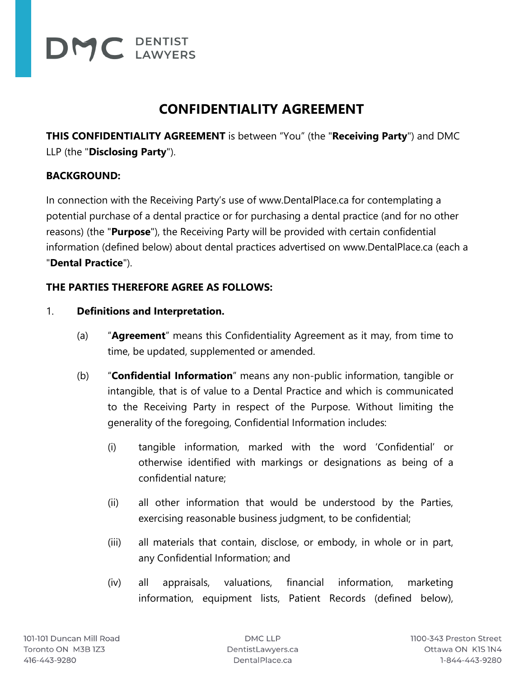

# **CONFIDENTIALITY AGREEMENT**

**THIS CONFIDENTIALITY AGREEMENT** is between "You" (the "**Receiving Party**") and DMC LLP (the "**Disclosing Party**").

# **BACKGROUND:**

In connection with the Receiving Party's use of www.DentalPlace.ca for contemplating a potential purchase of a dental practice or for purchasing a dental practice (and for no other reasons) (the "**Purpose**"), the Receiving Party will be provided with certain confidential information (defined below) about dental practices advertised on www.DentalPlace.ca (each a "**Dental Practice**").

## **THE PARTIES THEREFORE AGREE AS FOLLOWS:**

### 1. **Definitions and Interpretation.**

- (a) "**Agreement**" means this Confidentiality Agreement as it may, from time to time, be updated, supplemented or amended.
- (b) "**Confidential Information**" means any non-public information, tangible or intangible, that is of value to a Dental Practice and which is communicated to the Receiving Party in respect of the Purpose. Without limiting the generality of the foregoing, Confidential Information includes:
	- (i) tangible information, marked with the word 'Confidential' or otherwise identified with markings or designations as being of a confidential nature;
	- (ii) all other information that would be understood by the Parties, exercising reasonable business judgment, to be confidential;
	- (iii) all materials that contain, disclose, or embody, in whole or in part, any Confidential Information; and
	- (iv) all appraisals, valuations, financial information, marketing information, equipment lists, Patient Records (defined below),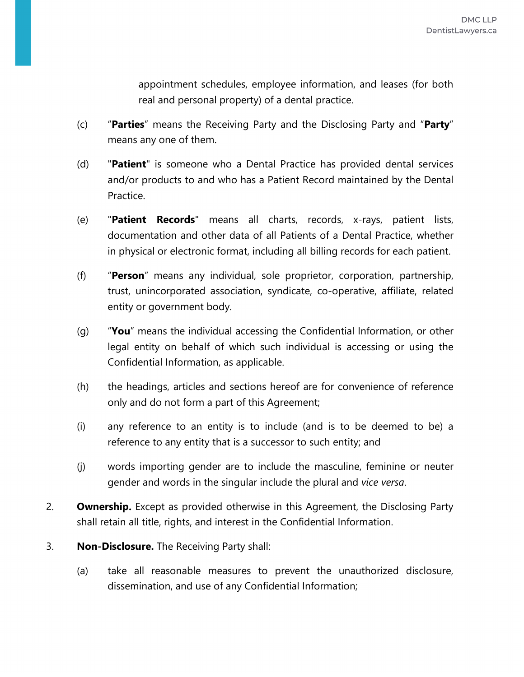appointment schedules, employee information, and leases (for both real and personal property) of a dental practice.

- (c) "**Parties**" means the Receiving Party and the Disclosing Party and "**Party**" means any one of them.
- (d) "**Patient**" is someone who a Dental Practice has provided dental services and/or products to and who has a Patient Record maintained by the Dental Practice.
- (e) "**Patient Records**" means all charts, records, x-rays, patient lists, documentation and other data of all Patients of a Dental Practice, whether in physical or electronic format, including all billing records for each patient.
- (f) "**Person**" means any individual, sole proprietor, corporation, partnership, trust, unincorporated association, syndicate, co-operative, affiliate, related entity or government body.
- (g) "**You**" means the individual accessing the Confidential Information, or other legal entity on behalf of which such individual is accessing or using the Confidential Information, as applicable.
- (h) the headings, articles and sections hereof are for convenience of reference only and do not form a part of this Agreement;
- (i) any reference to an entity is to include (and is to be deemed to be) a reference to any entity that is a successor to such entity; and
- (j) words importing gender are to include the masculine, feminine or neuter gender and words in the singular include the plural and *vice versa*.
- 2. **Ownership.** Except as provided otherwise in this Agreement, the Disclosing Party shall retain all title, rights, and interest in the Confidential Information.
- 3. **Non-Disclosure.** The Receiving Party shall:
	- (a) take all reasonable measures to prevent the unauthorized disclosure, dissemination, and use of any Confidential Information;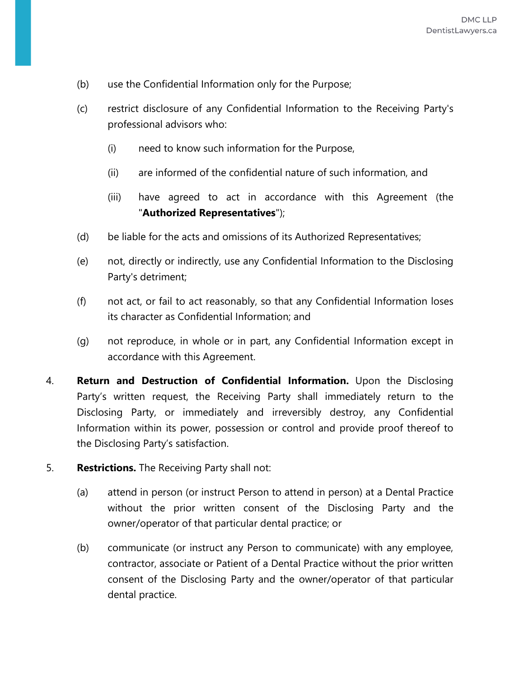- (b) use the Confidential Information only for the Purpose;
- (c) restrict disclosure of any Confidential Information to the Receiving Party's professional advisors who:
	- (i) need to know such information for the Purpose,
	- (ii) are informed of the confidential nature of such information, and
	- (iii) have agreed to act in accordance with this Agreement (the "**Authorized Representatives**");
- (d) be liable for the acts and omissions of its Authorized Representatives;
- (e) not, directly or indirectly, use any Confidential Information to the Disclosing Party's detriment;
- (f) not act, or fail to act reasonably, so that any Confidential Information loses its character as Confidential Information; and
- (g) not reproduce, in whole or in part, any Confidential Information except in accordance with this Agreement.
- 4. **Return and Destruction of Confidential Information.** Upon the Disclosing Party's written request, the Receiving Party shall immediately return to the Disclosing Party, or immediately and irreversibly destroy, any Confidential Information within its power, possession or control and provide proof thereof to the Disclosing Party's satisfaction.
- 5. **Restrictions.** The Receiving Party shall not:
	- (a) attend in person (or instruct Person to attend in person) at a Dental Practice without the prior written consent of the Disclosing Party and the owner/operator of that particular dental practice; or
	- (b) communicate (or instruct any Person to communicate) with any employee, contractor, associate or Patient of a Dental Practice without the prior written consent of the Disclosing Party and the owner/operator of that particular dental practice.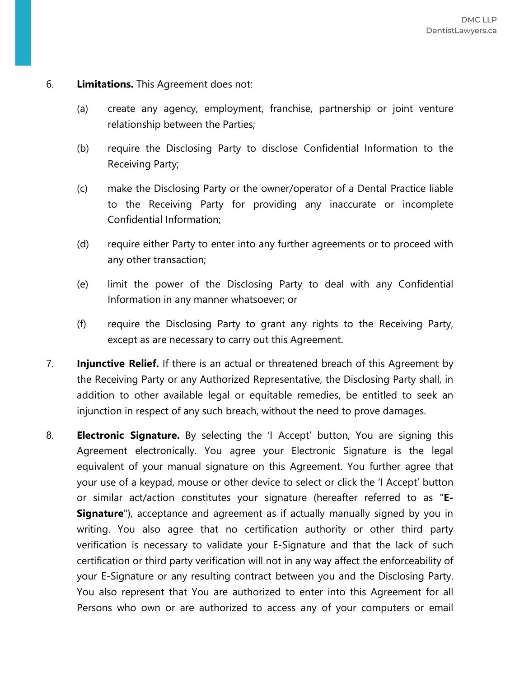#### 6. **Limitations.** This Agreement does not:

- (a) create any agency, employment, franchise, partnership or joint venture relationship between the Parties;
- (b) require the Disclosing Party to disclose Confidential Information to the Receiving Party;
- (c) make the Disclosing Party or the owner/operator of a Dental Practice liable to the Receiving Party for providing any inaccurate or incomplete Confidential Information;
- (d) require either Party to enter into any further agreements or to proceed with any other transaction;
- (e) limit the power of the Disclosing Party to deal with any Confidential Information in any manner whatsoever; or
- (f) require the Disclosing Party to grant any rights to the Receiving Party, except as are necessary to carry out this Agreement.
- 7. **Injunctive Relief.** If there is an actual or threatened breach of this Agreement by the Receiving Party or any Authorized Representative, the Disclosing Party shall, in addition to other available legal or equitable remedies, be entitled to seek an injunction in respect of any such breach, without the need to prove damages.
- 8. **Electronic Signature.** By selecting the 'I Accept' button, You are signing this Agreement electronically. You agree your Electronic Signature is the legal equivalent of your manual signature on this Agreement. You further agree that your use of a keypad, mouse or other device to select or click the 'I Accept' button or similar act/action constitutes your signature (hereafter referred to as "**E-Signature**"), acceptance and agreement as if actually manually signed by you in writing. You also agree that no certification authority or other third party verification is necessary to validate your E-Signature and that the lack of such certification or third party verification will not in any way affect the enforceability of your E-Signature or any resulting contract between you and the Disclosing Party. You also represent that You are authorized to enter into this Agreement for all Persons who own or are authorized to access any of your computers or email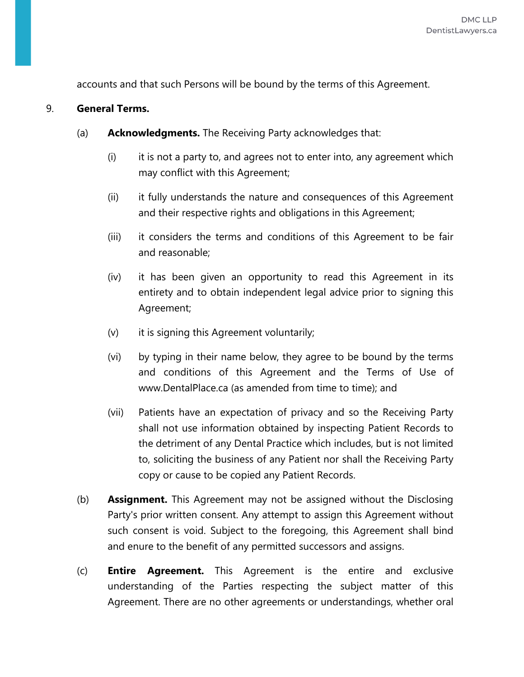accounts and that such Persons will be bound by the terms of this Agreement.

#### 9. **General Terms.**

- (a) **Acknowledgments.** The Receiving Party acknowledges that:
	- (i) it is not a party to, and agrees not to enter into, any agreement which may conflict with this Agreement;
	- (ii) it fully understands the nature and consequences of this Agreement and their respective rights and obligations in this Agreement;
	- (iii) it considers the terms and conditions of this Agreement to be fair and reasonable;
	- (iv) it has been given an opportunity to read this Agreement in its entirety and to obtain independent legal advice prior to signing this Agreement;
	- (v) it is signing this Agreement voluntarily;
	- (vi) by typing in their name below, they agree to be bound by the terms and conditions of this Agreement and the Terms of Use of www.DentalPlace.ca (as amended from time to time); and
	- (vii) Patients have an expectation of privacy and so the Receiving Party shall not use information obtained by inspecting Patient Records to the detriment of any Dental Practice which includes, but is not limited to, soliciting the business of any Patient nor shall the Receiving Party copy or cause to be copied any Patient Records.
- (b) **Assignment.** This Agreement may not be assigned without the Disclosing Party's prior written consent. Any attempt to assign this Agreement without such consent is void. Subject to the foregoing, this Agreement shall bind and enure to the benefit of any permitted successors and assigns.
- (c) **Entire Agreement.** This Agreement is the entire and exclusive understanding of the Parties respecting the subject matter of this Agreement. There are no other agreements or understandings, whether oral